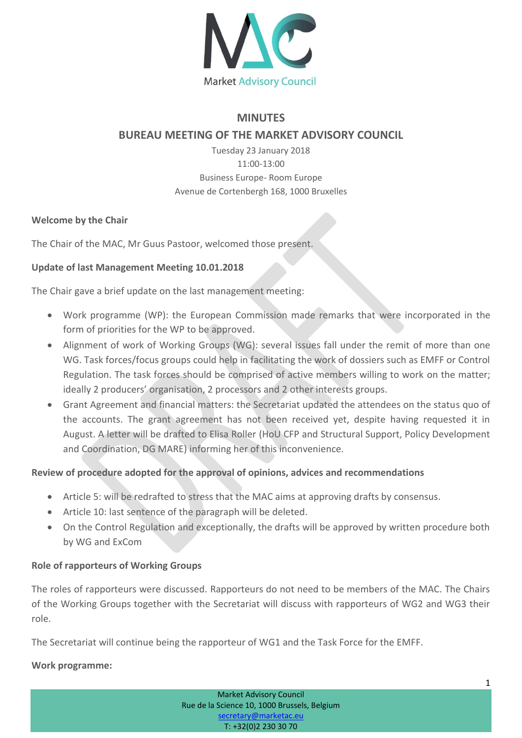

# **MINUTES**

# **BUREAU MEETING OF THE MARKET ADVISORY COUNCIL**

Tuesday 23 January 2018 11:00-13:00 Business Europe- Room Europe Avenue de Cortenbergh 168, 1000 Bruxelles

### **Welcome by the Chair**

The Chair of the MAC, Mr Guus Pastoor, welcomed those present.

### **Update of last Management Meeting 10.01.2018**

The Chair gave a brief update on the last management meeting:

- Work programme (WP): the European Commission made remarks that were incorporated in the form of priorities for the WP to be approved.
- Alignment of work of Working Groups (WG): several issues fall under the remit of more than one WG. Task forces/focus groups could help in facilitating the work of dossiers such as EMFF or Control Regulation. The task forces should be comprised of active members willing to work on the matter; ideally 2 producers' organisation, 2 processors and 2 other interests groups.
- Grant Agreement and financial matters: the Secretariat updated the attendees on the status quo of the accounts. The grant agreement has not been received yet, despite having requested it in August. A letter will be drafted to Elisa Roller (HoU CFP and Structural Support, Policy Development and Coordination, DG MARE) informing her of this inconvenience.

# **Review of procedure adopted for the approval of opinions, advices and recommendations**

- Article 5: will be redrafted to stress that the MAC aims at approving drafts by consensus.
- Article 10: last sentence of the paragraph will be deleted.
- On the Control Regulation and exceptionally, the drafts will be approved by written procedure both by WG and ExCom

### **Role of rapporteurs of Working Groups**

The roles of rapporteurs were discussed. Rapporteurs do not need to be members of the MAC. The Chairs of the Working Groups together with the Secretariat will discuss with rapporteurs of WG2 and WG3 their role.

The Secretariat will continue being the rapporteur of WG1 and the Task Force for the EMFF.

### **Work programme:**

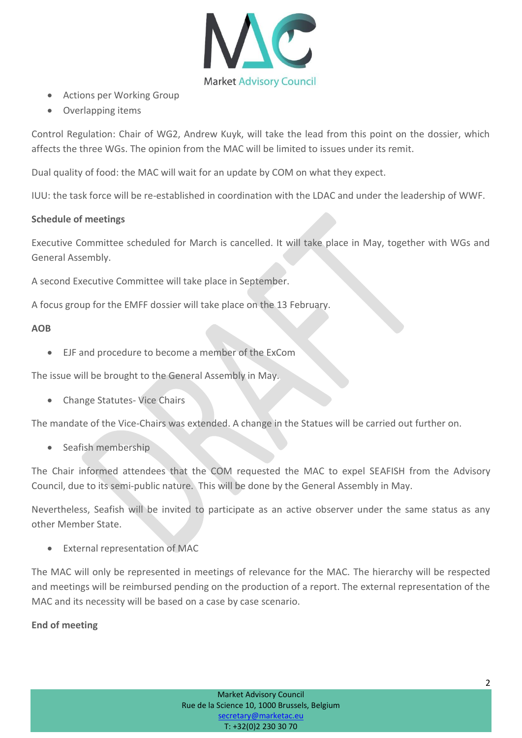

- Actions per Working Group
- Overlapping items

Control Regulation: Chair of WG2, Andrew Kuyk, will take the lead from this point on the dossier, which affects the three WGs. The opinion from the MAC will be limited to issues under its remit.

Dual quality of food: the MAC will wait for an update by COM on what they expect.

IUU: the task force will be re-established in coordination with the LDAC and under the leadership of WWF.

#### **Schedule of meetings**

Executive Committee scheduled for March is cancelled. It will take place in May, together with WGs and General Assembly.

A second Executive Committee will take place in September.

A focus group for the EMFF dossier will take place on the 13 February.

#### **AOB**

EJF and procedure to become a member of the ExCom

The issue will be brought to the General Assembly in May.

Change Statutes- Vice Chairs

The mandate of the Vice-Chairs was extended. A change in the Statues will be carried out further on.

• Seafish membership

The Chair informed attendees that the COM requested the MAC to expel SEAFISH from the Advisory Council, due to its semi-public nature. This will be done by the General Assembly in May.

Nevertheless, Seafish will be invited to participate as an active observer under the same status as any other Member State.

External representation of MAC

The MAC will only be represented in meetings of relevance for the MAC. The hierarchy will be respected and meetings will be reimbursed pending on the production of a report. The external representation of the MAC and its necessity will be based on a case by case scenario.

### **End of meeting**